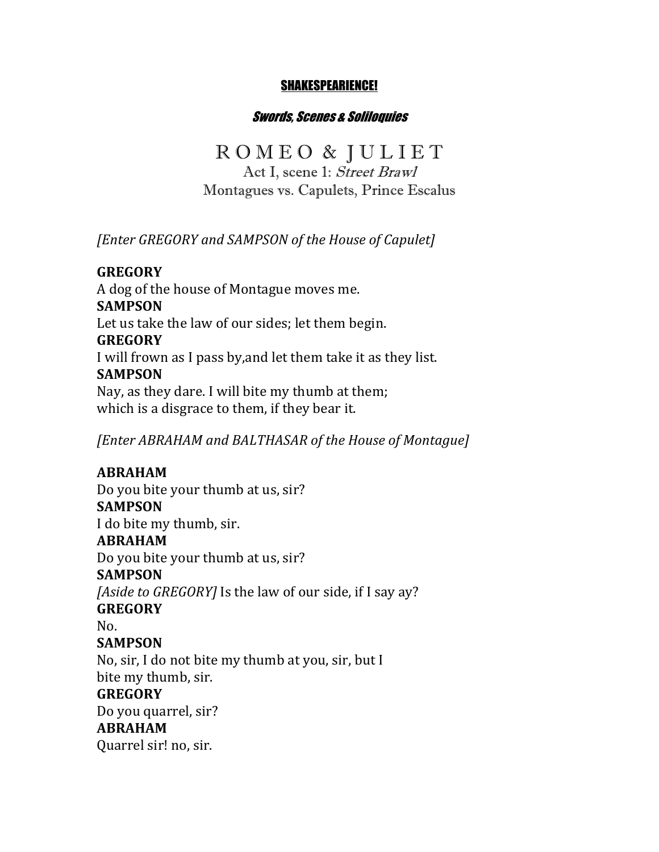#### SHAKESPEARIENCE!

#### Swords, Scenes & Soliloquies

# ROMEO & JULIET

Act I, scene 1: Street Brawl Montagues vs. Capulets, Prince Escalus

**[Enter GREGORY** and SAMPSON of the House of Capulet]

#### **GREGORY**

A dog of the house of Montague moves me. **SAMPSON** Let us take the law of our sides; let them begin. **GREGORY** I will frown as I pass by, and let them take it as they list. **SAMPSON** Nay, as they dare. I will bite my thumb at them; which is a disgrace to them, if they bear it.

*[Enter ABRAHAM and BALTHASAR of the House of Montague]* 

# **ABRAHAM**

**ABRAHAM**

Quarrel sir! no, sir.

Do you bite your thumb at us, sir? **SAMPSON** I do bite my thumb, sir. **ABRAHAM** Do you bite your thumb at us, sir? **SAMPSON** *[Aside to GREGORY]* Is the law of our side, if I say ay? **GREGORY** No. **SAMPSON** No, sir, I do not bite my thumb at you, sir, but I bite my thumb, sir. **GREGORY** Do you quarrel, sir?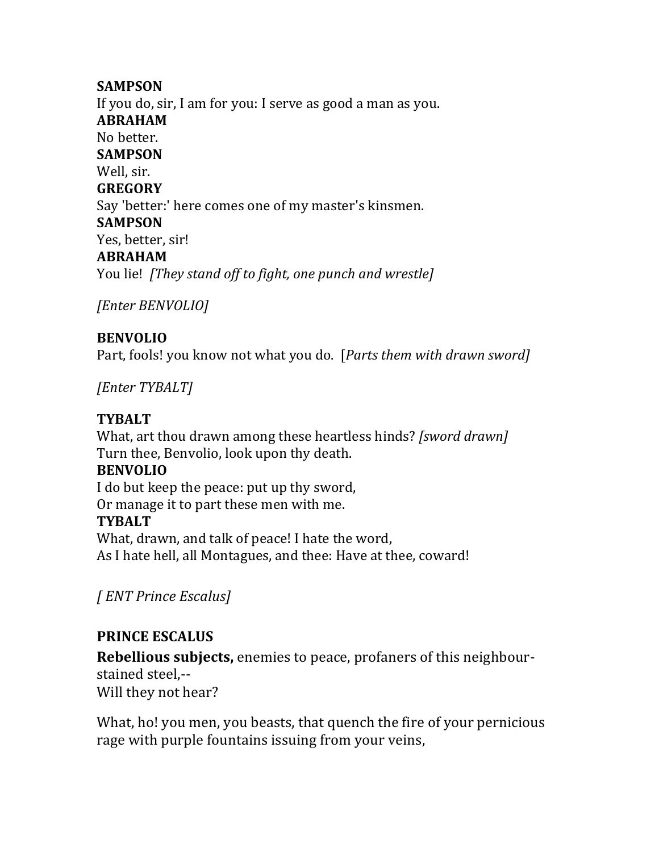#### **SAMPSON**

If you do, sir, I am for you: I serve as good a man as you. **ABRAHAM** No better. **SAMPSON** Well, sir. **GREGORY** Say 'better:' here comes one of my master's kinsmen. **SAMPSON** Yes, better, sir! **ABRAHAM** You lie! [They stand off to fight, one punch and wrestle]

*[Enter BENVOLIO]*

# **BENVOLIO**

Part, fools! you know not what you do. [*Parts them with drawn sword]* 

*[Enter TYBALT]*

### **TYBALT**

What, art thou drawn among these heartless hinds? *[sword drawn]* Turn thee, Benvolio, look upon thy death.

#### **BENVOLIO**

I do but keep the peace: put up thy sword, Or manage it to part these men with me. **TYBALT** What, drawn, and talk of peace! I hate the word, As I hate hell, all Montagues, and thee: Have at thee, coward!

*[ ENT Prince Escalus]*

# **PRINCE ESCALUS**

**Rebellious subjects,** enemies to peace, profaners of this neighbourstained steel,--Will they not hear?

What, ho! you men, you beasts, that quench the fire of your pernicious rage with purple fountains issuing from your veins,